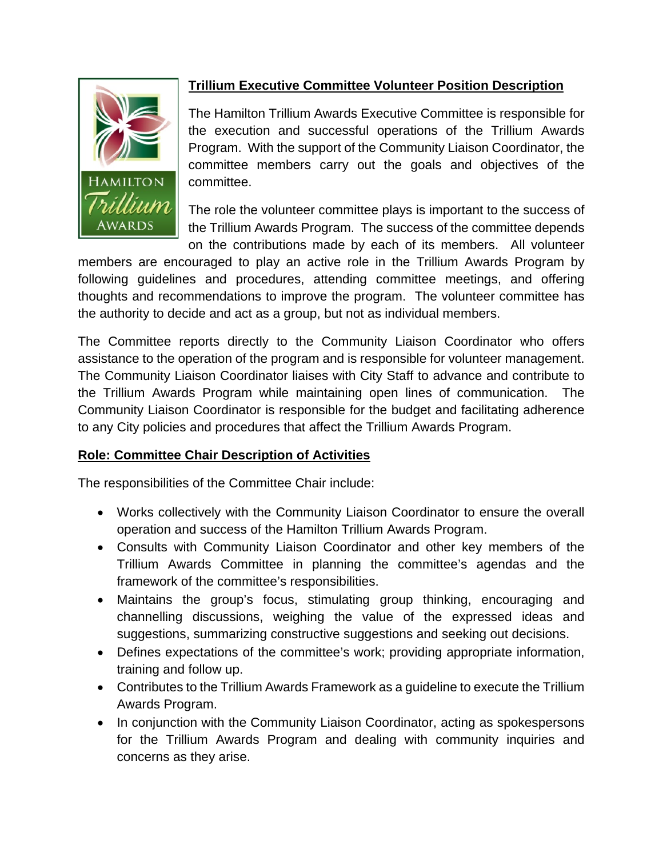

# **Trillium Executive Committee Volunteer Position Description**

The Hamilton Trillium Awards Executive Committee is responsible for the execution and successful operations of the Trillium Awards Program. With the support of the Community Liaison Coordinator, the committee members carry out the goals and objectives of the committee.

The role the volunteer committee plays is important to the success of the Trillium Awards Program. The success of the committee depends on the contributions made by each of its members. All volunteer

members are encouraged to play an active role in the Trillium Awards Program by following guidelines and procedures, attending committee meetings, and offering thoughts and recommendations to improve the program. The volunteer committee has the authority to decide and act as a group, but not as individual members.

The Committee reports directly to the Community Liaison Coordinator who offers assistance to the operation of the program and is responsible for volunteer management. The Community Liaison Coordinator liaises with City Staff to advance and contribute to the Trillium Awards Program while maintaining open lines of communication. The Community Liaison Coordinator is responsible for the budget and facilitating adherence to any City policies and procedures that affect the Trillium Awards Program.

#### **Role: Committee Chair Description of Activities**

The responsibilities of the Committee Chair include:

- Works collectively with the Community Liaison Coordinator to ensure the overall operation and success of the Hamilton Trillium Awards Program.
- Consults with Community Liaison Coordinator and other key members of the Trillium Awards Committee in planning the committee's agendas and the framework of the committee's responsibilities.
- Maintains the group's focus, stimulating group thinking, encouraging and channelling discussions, weighing the value of the expressed ideas and suggestions, summarizing constructive suggestions and seeking out decisions.
- Defines expectations of the committee's work; providing appropriate information, training and follow up.
- Contributes to the Trillium Awards Framework as a guideline to execute the Trillium Awards Program.
- In conjunction with the Community Liaison Coordinator, acting as spokespersons for the Trillium Awards Program and dealing with community inquiries and concerns as they arise.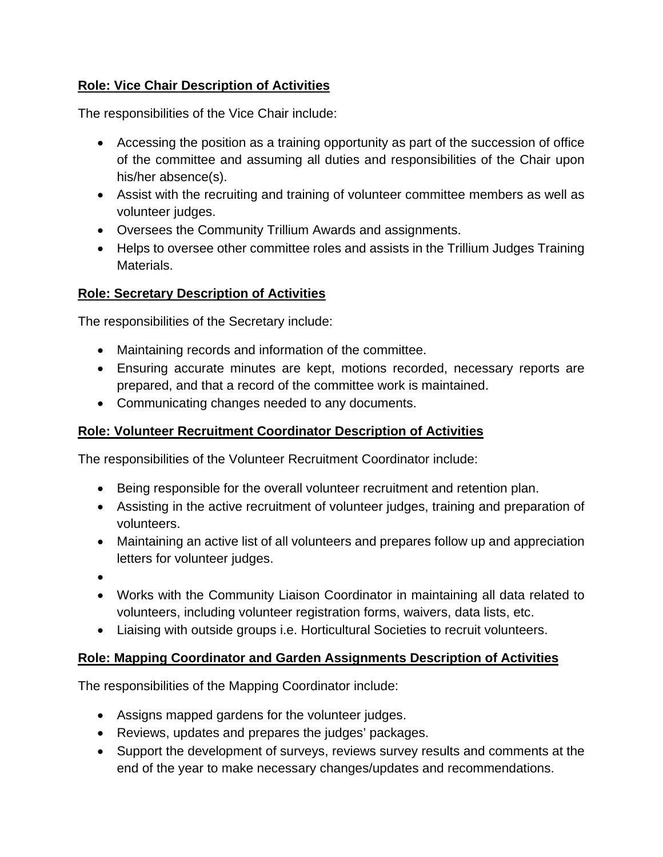#### **Role: Vice Chair Description of Activities**

The responsibilities of the Vice Chair include:

- Accessing the position as a training opportunity as part of the succession of office of the committee and assuming all duties and responsibilities of the Chair upon his/her absence(s).
- Assist with the recruiting and training of volunteer committee members as well as volunteer judges.
- Oversees the Community Trillium Awards and assignments.
- Helps to oversee other committee roles and assists in the Trillium Judges Training Materials.

## **Role: Secretary Description of Activities**

The responsibilities of the Secretary include:

- Maintaining records and information of the committee.
- Ensuring accurate minutes are kept, motions recorded, necessary reports are prepared, and that a record of the committee work is maintained.
- Communicating changes needed to any documents.

#### **Role: Volunteer Recruitment Coordinator Description of Activities**

The responsibilities of the Volunteer Recruitment Coordinator include:

- Being responsible for the overall volunteer recruitment and retention plan.
- Assisting in the active recruitment of volunteer judges, training and preparation of volunteers.
- Maintaining an active list of all volunteers and prepares follow up and appreciation letters for volunteer judges.
- •
- Works with the Community Liaison Coordinator in maintaining all data related to volunteers, including volunteer registration forms, waivers, data lists, etc.
- Liaising with outside groups i.e. Horticultural Societies to recruit volunteers.

#### **Role: Mapping Coordinator and Garden Assignments Description of Activities**

The responsibilities of the Mapping Coordinator include:

- Assigns mapped gardens for the volunteer judges.
- Reviews, updates and prepares the judges' packages.
- Support the development of surveys, reviews survey results and comments at the end of the year to make necessary changes/updates and recommendations.